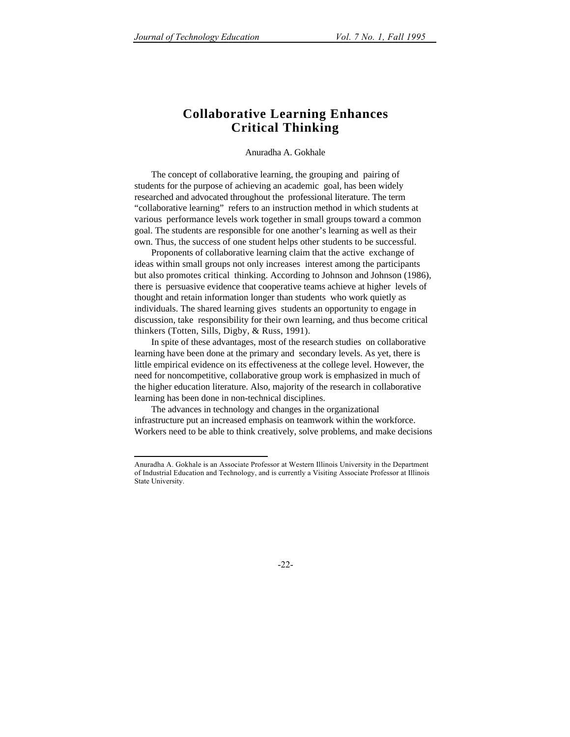# **Collaborative Learning Enhances Critical Thinking**

#### Anuradha A. Gokhale

The concept of collaborative learning, the grouping and pairing of students for the purpose of achieving an academic goal, has been widely researched and advocated throughout the professional literature. The term "collaborative learning" refers to an instruction method in which students at various performance levels work together in small groups toward a common goal. The students are responsible for one another's learning as well as their own. Thus, the success of one student helps other students to be successful.

Proponents of collaborative learning claim that the active exchange of ideas within small groups not only increases interest among the participants but also promotes critical thinking. According to Johnson and Johnson (1986), there is persuasive evidence that cooperative teams achieve at higher levels of thought and retain information longer than students who work quietly as individuals. The shared learning gives students an opportunity to engage in discussion, take responsibility for their own learning, and thus become critical thinkers (Totten, Sills, Digby, & Russ, 1991).

In spite of these advantages, most of the research studies on collaborative learning have been done at the primary and secondary levels. As yet, there is little empirical evidence on its effectiveness at the college level. However, the need for noncompetitive, collaborative group work is emphasized in much of the higher education literature. Also, majority of the research in collaborative learning has been done in non-technical disciplines.

The advances in technology and changes in the organizational infrastructure put an increased emphasis on teamwork within the workforce. Workers need to be able to think creatively, solve problems, and make decisions

 $\overline{a}$ Anuradha A. Gokhale is an Associate Professor at Western Illinois University in the Department of Industrial Education and Technology, and is currently a Visiting Associate Professor at Illinois State University.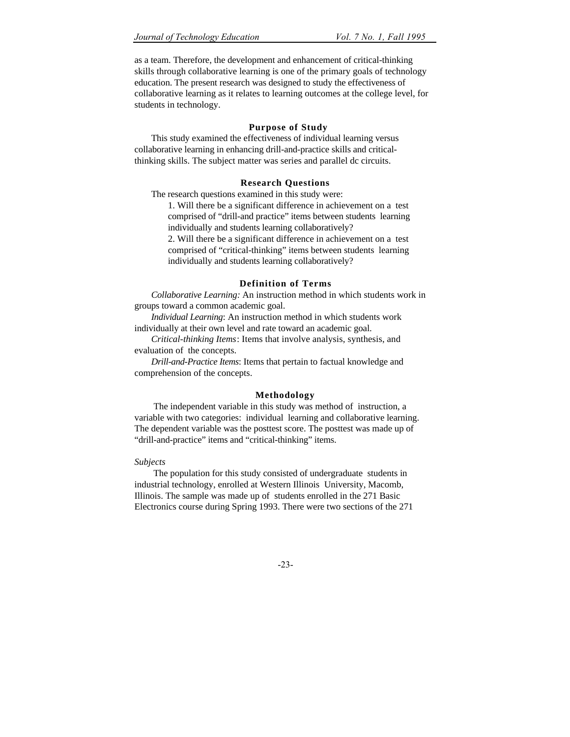as a team. Therefore, the development and enhancement of critical-thinking skills through collaborative learning is one of the primary goals of technology education. The present research was designed to study the effectiveness of collaborative learning as it relates to learning outcomes at the college level, for students in technology.

# **Purpose of Study**

This study examined the effectiveness of individual learning versus collaborative learning in enhancing drill-and-practice skills and criticalthinking skills. The subject matter was series and parallel dc circuits.

# **Research Questions**

The research questions examined in this study were:

1. Will there be a significant difference in achievement on a test comprised of "drill-and practice" items between students learning individually and students learning collaboratively?

2. Will there be a significant difference in achievement on a test comprised of "critical-thinking" items between students learning individually and students learning collaboratively?

# **Definition of Terms**

*Collaborative Learning:* An instruction method in which students work in groups toward a common academic goal.

*Individual Learning*: An instruction method in which students work individually at their own level and rate toward an academic goal.

*Critical-thinking Items*: Items that involve analysis, synthesis, and evaluation of the concepts.

*Drill-and-Practice Items*: Items that pertain to factual knowledge and comprehension of the concepts.

# **Methodology**

 The independent variable in this study was method of instruction, a variable with two categories: individual learning and collaborative learning. The dependent variable was the posttest score. The posttest was made up of "drill-and-practice" items and "critical-thinking" items.

# *Subjects*

 The population for this study consisted of undergraduate students in industrial technology, enrolled at Western Illinois University, Macomb, Illinois. The sample was made up of students enrolled in the 271 Basic Electronics course during Spring 1993. There were two sections of the 271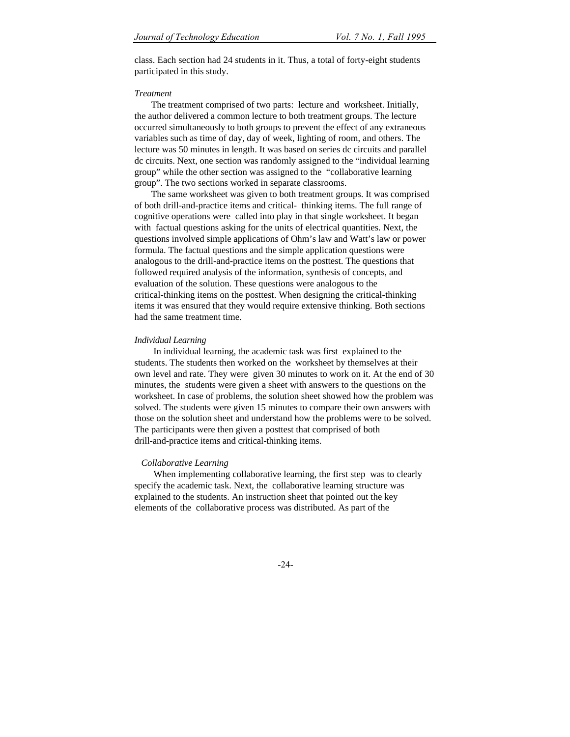class. Each section had 24 students in it. Thus, a total of forty-eight students participated in this study.

#### *Treatment*

The treatment comprised of two parts: lecture and worksheet. Initially, the author delivered a common lecture to both treatment groups. The lecture occurred simultaneously to both groups to prevent the effect of any extraneous variables such as time of day, day of week, lighting of room, and others. The lecture was 50 minutes in length. It was based on series dc circuits and parallel dc circuits. Next, one section was randomly assigned to the "individual learning group" while the other section was assigned to the "collaborative learning group". The two sections worked in separate classrooms.

The same worksheet was given to both treatment groups. It was comprised of both drill-and-practice items and critical- thinking items. The full range of cognitive operations were called into play in that single worksheet. It began with factual questions asking for the units of electrical quantities. Next, the questions involved simple applications of Ohm's law and Watt's law or power formula. The factual questions and the simple application questions were analogous to the drill-and-practice items on the posttest. The questions that followed required analysis of the information, synthesis of concepts, and evaluation of the solution. These questions were analogous to the critical-thinking items on the posttest. When designing the critical-thinking items it was ensured that they would require extensive thinking. Both sections had the same treatment time.

#### *Individual Learning*

 In individual learning, the academic task was first explained to the students. The students then worked on the worksheet by themselves at their own level and rate. They were given 30 minutes to work on it. At the end of 30 minutes, the students were given a sheet with answers to the questions on the worksheet. In case of problems, the solution sheet showed how the problem was solved. The students were given 15 minutes to compare their own answers with those on the solution sheet and understand how the problems were to be solved. The participants were then given a posttest that comprised of both drill-and-practice items and critical-thinking items.

#### *Collaborative Learning*

 When implementing collaborative learning, the first step was to clearly specify the academic task. Next, the collaborative learning structure was explained to the students. An instruction sheet that pointed out the key elements of the collaborative process was distributed. As part of the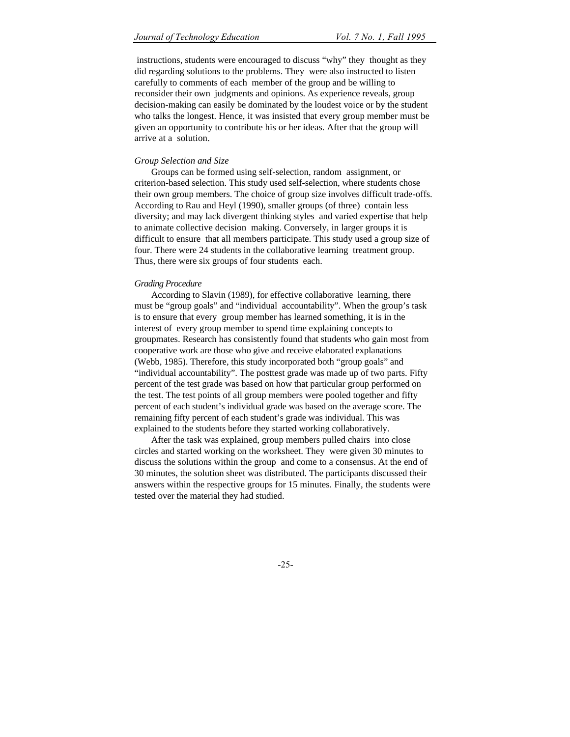instructions, students were encouraged to discuss "why" they thought as they did regarding solutions to the problems. They were also instructed to listen carefully to comments of each member of the group and be willing to reconsider their own judgments and opinions. As experience reveals, group decision-making can easily be dominated by the loudest voice or by the student who talks the longest. Hence, it was insisted that every group member must be given an opportunity to contribute his or her ideas. After that the group will arrive at a solution.

#### *Group Selection and Size*

Groups can be formed using self-selection, random assignment, or criterion-based selection. This study used self-selection, where students chose their own group members. The choice of group size involves difficult trade-offs. According to Rau and Heyl (1990), smaller groups (of three) contain less diversity; and may lack divergent thinking styles and varied expertise that help to animate collective decision making. Conversely, in larger groups it is difficult to ensure that all members participate. This study used a group size of four. There were 24 students in the collaborative learning treatment group. Thus, there were six groups of four students each.

#### *Grading Procedure*

According to Slavin (1989), for effective collaborative learning, there must be "group goals" and "individual accountability". When the group's task is to ensure that every group member has learned something, it is in the interest of every group member to spend time explaining concepts to groupmates. Research has consistently found that students who gain most from cooperative work are those who give and receive elaborated explanations (Webb, 1985). Therefore, this study incorporated both "group goals" and "individual accountability". The posttest grade was made up of two parts. Fifty percent of the test grade was based on how that particular group performed on the test. The test points of all group members were pooled together and fifty percent of each student's individual grade was based on the average score. The remaining fifty percent of each student's grade was individual. This was explained to the students before they started working collaboratively.

After the task was explained, group members pulled chairs into close circles and started working on the worksheet. They were given 30 minutes to discuss the solutions within the group and come to a consensus. At the end of 30 minutes, the solution sheet was distributed. The participants discussed their answers within the respective groups for 15 minutes. Finally, the students were tested over the material they had studied.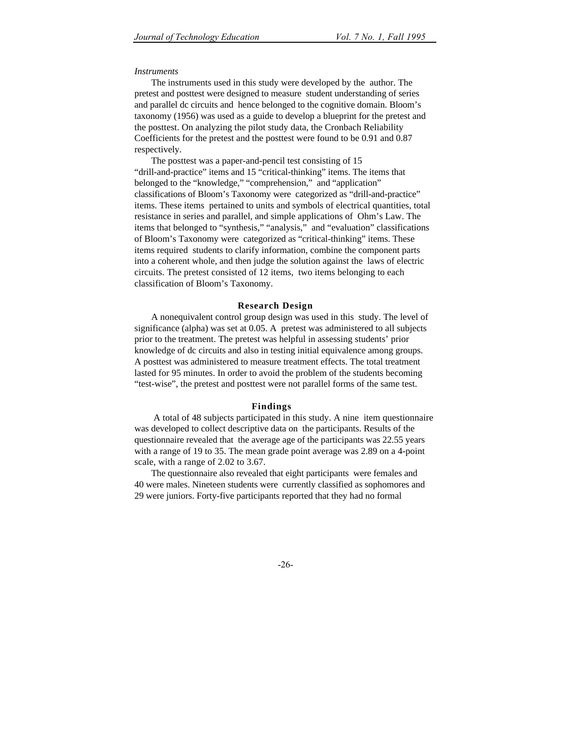#### *Instruments*

The instruments used in this study were developed by the author. The pretest and posttest were designed to measure student understanding of series and parallel dc circuits and hence belonged to the cognitive domain. Bloom's taxonomy (1956) was used as a guide to develop a blueprint for the pretest and the posttest. On analyzing the pilot study data, the Cronbach Reliability Coefficients for the pretest and the posttest were found to be 0.91 and 0.87 respectively.

The posttest was a paper-and-pencil test consisting of 15 "drill-and-practice" items and 15 "critical-thinking" items. The items that belonged to the "knowledge," "comprehension," and "application" classifications of Bloom's Taxonomy were categorized as "drill-and-practice" items. These items pertained to units and symbols of electrical quantities, total resistance in series and parallel, and simple applications of Ohm's Law. The items that belonged to "synthesis," "analysis," and "evaluation" classifications of Bloom's Taxonomy were categorized as "critical-thinking" items. These items required students to clarify information, combine the component parts into a coherent whole, and then judge the solution against the laws of electric circuits. The pretest consisted of 12 items, two items belonging to each classification of Bloom's Taxonomy.

#### **Research Design**

A nonequivalent control group design was used in this study. The level of significance (alpha) was set at 0.05. A pretest was administered to all subjects prior to the treatment. The pretest was helpful in assessing students' prior knowledge of dc circuits and also in testing initial equivalence among groups. A posttest was administered to measure treatment effects. The total treatment lasted for 95 minutes. In order to avoid the problem of the students becoming "test-wise", the pretest and posttest were not parallel forms of the same test.

#### **Findings**

 A total of 48 subjects participated in this study. A nine item questionnaire was developed to collect descriptive data on the participants. Results of the questionnaire revealed that the average age of the participants was 22.55 years with a range of 19 to 35. The mean grade point average was 2.89 on a 4-point scale, with a range of 2.02 to 3.67.

The questionnaire also revealed that eight participants were females and 40 were males. Nineteen students were currently classified as sophomores and 29 were juniors. Forty-five participants reported that they had no formal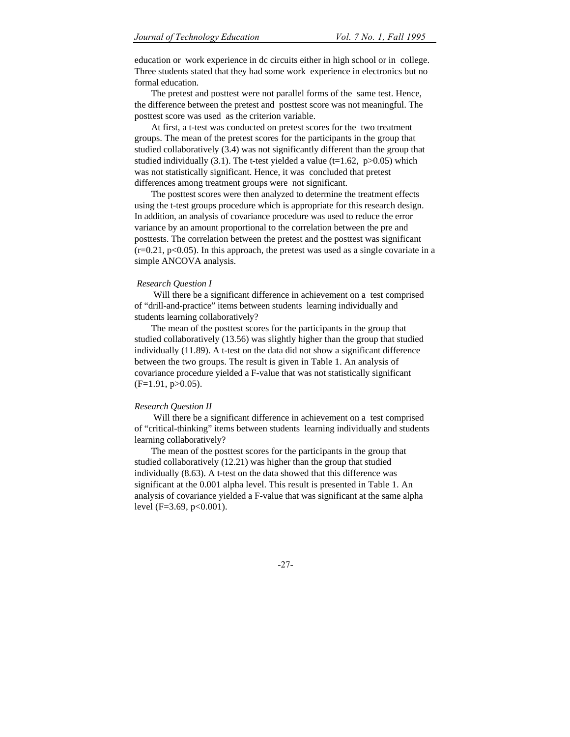education or work experience in dc circuits either in high school or in college. Three students stated that they had some work experience in electronics but no formal education.

The pretest and posttest were not parallel forms of the same test. Hence, the difference between the pretest and posttest score was not meaningful. The posttest score was used as the criterion variable.

At first, a t-test was conducted on pretest scores for the two treatment groups. The mean of the pretest scores for the participants in the group that studied collaboratively (3.4) was not significantly different than the group that studied individually (3.1). The t-test yielded a value (t=1.62,  $p > 0.05$ ) which was not statistically significant. Hence, it was concluded that pretest differences among treatment groups were not significant.

The posttest scores were then analyzed to determine the treatment effects using the t-test groups procedure which is appropriate for this research design. In addition, an analysis of covariance procedure was used to reduce the error variance by an amount proportional to the correlation between the pre and posttests. The correlation between the pretest and the posttest was significant  $(r=0.21, p<0.05)$ . In this approach, the pretest was used as a single covariate in a simple ANCOVA analysis.

#### *Research Question I*

 Will there be a significant difference in achievement on a test comprised of "drill-and-practice" items between students learning individually and students learning collaboratively?

The mean of the posttest scores for the participants in the group that studied collaboratively (13.56) was slightly higher than the group that studied individually (11.89). A t-test on the data did not show a significant difference between the two groups. The result is given in Table 1. An analysis of covariance procedure yielded a F-value that was not statistically significant  $(F=1.91, p>0.05)$ .

#### *Research Question II*

 Will there be a significant difference in achievement on a test comprised of "critical-thinking" items between students learning individually and students learning collaboratively?

The mean of the posttest scores for the participants in the group that studied collaboratively (12.21) was higher than the group that studied individually (8.63). A t-test on the data showed that this difference was significant at the 0.001 alpha level. This result is presented in Table 1. An analysis of covariance yielded a F-value that was significant at the same alpha level (F=3.69, p<0.001).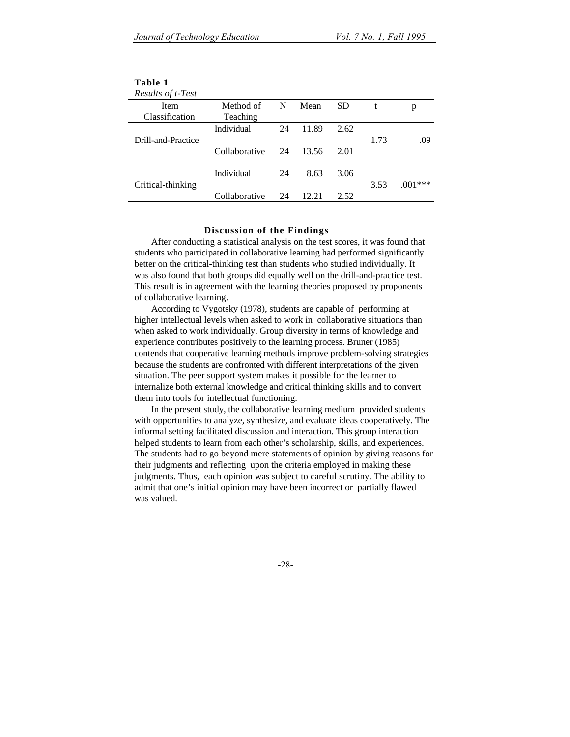| Results of t-Test  |               |    |       |      |      |           |
|--------------------|---------------|----|-------|------|------|-----------|
| Item               | Method of     | N  | Mean  | SD.  | t    | р         |
| Classification     | Teaching      |    |       |      |      |           |
|                    | Individual    | 24 | 11.89 | 2.62 |      |           |
| Drill-and-Practice |               |    |       |      | 1.73 | .09       |
|                    | Collaborative | 24 | 13.56 | 2.01 |      |           |
|                    |               |    |       |      |      |           |
|                    | Individual    | 24 | 8.63  | 3.06 |      |           |
| Critical-thinking  |               |    |       |      | 3.53 | $.001***$ |
|                    | Collaborative | 24 | 12.21 | 2.52 |      |           |

# **Table 1**

#### **Discussion of the Findings**

After conducting a statistical analysis on the test scores, it was found that students who participated in collaborative learning had performed significantly better on the critical-thinking test than students who studied individually. It was also found that both groups did equally well on the drill-and-practice test. This result is in agreement with the learning theories proposed by proponents of collaborative learning.

According to Vygotsky (1978), students are capable of performing at higher intellectual levels when asked to work in collaborative situations than when asked to work individually. Group diversity in terms of knowledge and experience contributes positively to the learning process. Bruner (1985) contends that cooperative learning methods improve problem-solving strategies because the students are confronted with different interpretations of the given situation. The peer support system makes it possible for the learner to internalize both external knowledge and critical thinking skills and to convert them into tools for intellectual functioning.

In the present study, the collaborative learning medium provided students with opportunities to analyze, synthesize, and evaluate ideas cooperatively. The informal setting facilitated discussion and interaction. This group interaction helped students to learn from each other's scholarship, skills, and experiences. The students had to go beyond mere statements of opinion by giving reasons for their judgments and reflecting upon the criteria employed in making these judgments. Thus, each opinion was subject to careful scrutiny. The ability to admit that one's initial opinion may have been incorrect or partially flawed was valued.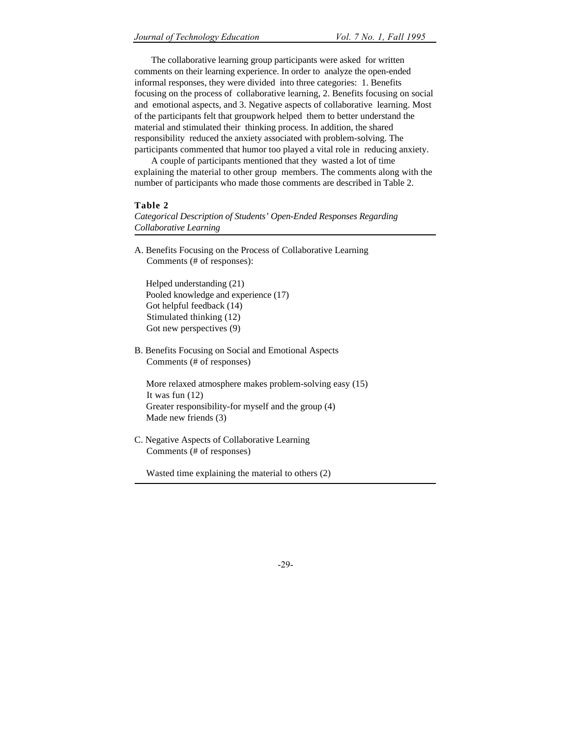The collaborative learning group participants were asked for written comments on their learning experience. In order to analyze the open-ended informal responses, they were divided into three categories: 1. Benefits focusing on the process of collaborative learning, 2. Benefits focusing on social and emotional aspects, and 3. Negative aspects of collaborative learning. Most of the participants felt that groupwork helped them to better understand the material and stimulated their thinking process. In addition, the shared responsibility reduced the anxiety associated with problem-solving. The participants commented that humor too played a vital role in reducing anxiety.

A couple of participants mentioned that they wasted a lot of time explaining the material to other group members. The comments along with the number of participants who made those comments are described in Table 2.

# **Table 2**

*Categorical Description of Students' Open-Ended Responses Regarding Collaborative Learning*

A. Benefits Focusing on the Process of Collaborative Learning Comments (# of responses):

 Helped understanding (21) Pooled knowledge and experience (17) Got helpful feedback (14) Stimulated thinking (12) Got new perspectives (9)

B. Benefits Focusing on Social and Emotional Aspects Comments (# of responses)

 More relaxed atmosphere makes problem-solving easy (15) It was fun (12) Greater responsibility-for myself and the group (4) Made new friends (3)

C. Negative Aspects of Collaborative Learning Comments (# of responses)

Wasted time explaining the material to others (2)